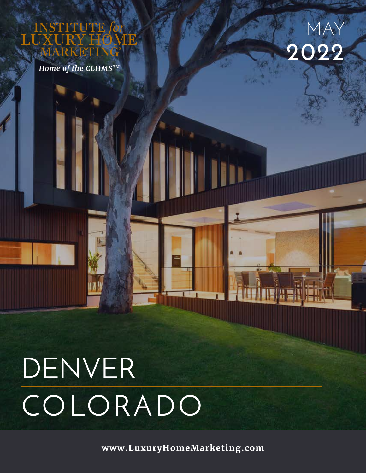**TITE** 

*Home of the CLHMSTM*



# DENVER COLORADO

**www.LuxuryHomeMarketing.com**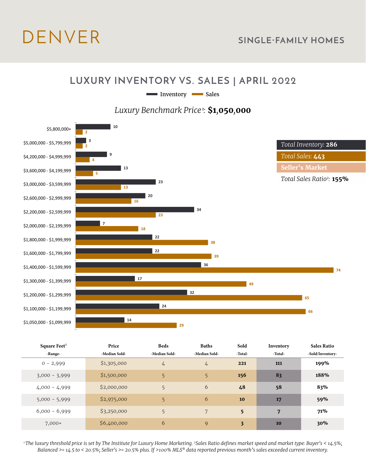## DENVER **SINGLE-FAMILY HOMES**

#### **LUXURY INVENTORY VS. SALES | APRIL 2022**

Inventory Sales

#### *Luxury Benchmark Price 1:* **\$1***,***050***,***000**



| Square Feet <sup>3</sup> | Price         | <b>Beds</b>   | <b>Baths</b>  | Sold                    | Inventory | <b>Sales Ratio</b> |
|--------------------------|---------------|---------------|---------------|-------------------------|-----------|--------------------|
| -Range-                  | -Median Sold- | -Median Sold- | -Median Sold- | -Total-                 | -Total-   | -Sold/Inventory-   |
| $0 - 2,999$              | \$1,305,000   | 4             | $\frac{1}{4}$ | 221                     | 111       | 199%               |
| $3,000 - 3,999$          | \$1,500,000   | 5             | 5             | 156                     | 83        | 188%               |
| $4,000 - 4,999$          | \$2,000,000   | 5             | 6             | 48                      | 58        | 83%                |
| $5,000 - 5,999$          | \$2,975,000   | 5             | 6             | 10                      | 17        | 59%                |
| $6,000 - 6,999$          | \$3,250,000   | 5             | 7             | 5 <sup>5</sup>          | 7         | 71%                |
| $7,000+$                 | \$6,400,000   | 6             | 9             | $\overline{\mathbf{3}}$ | 10        | 30%                |

*1 The luxury threshold price is set by The Institute for Luxury Home Marketing. 2Sales Ratio defines market speed and market type: Buyer's < 14.5%; Balanced >= 14.5 to < 20.5%; Seller's >= 20.5% plus. If >100% MLS® data reported previous month's sales exceeded current inventory.*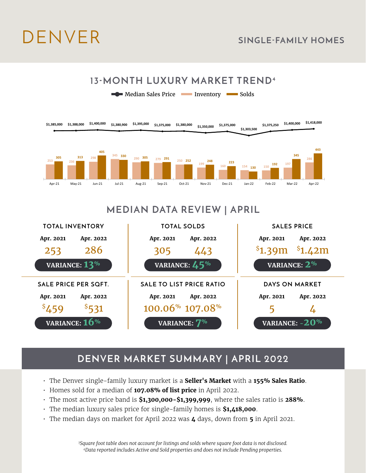**\$1,303,500**





### **MEDIAN DATA REVIEW | APRIL**



### **DENVER MARKET SUMMARY | APRIL 2022**

- The Denver single-family luxury market is a **Seller's Market** with a **155% Sales Ratio**.
- Homes sold for a median of **107.08% of list price** in April 2022.
- The most active price band is **\$1,300,000-\$1,399,999**, where the sales ratio is **288%**.
- The median luxury sales price for single-family homes is **\$1,418,000**.
- The median days on market for April 2022 was **4** days, down from **5** in April 2021.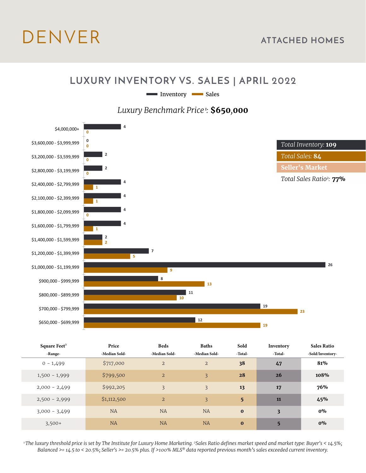## DENVER **ATTACHED HOMES**

#### **LUXURY INVENTORY VS. SALES | APRIL 2022**

Inventory Sales

*Luxury Benchmark Price 1:* **\$650***,***000**



| Square Feet <sup>3</sup> | Price         | <b>Beds</b>    | <b>Baths</b>   | Sold           | Inventory | <b>Sales Ratio</b> |
|--------------------------|---------------|----------------|----------------|----------------|-----------|--------------------|
| -Range-                  | -Median Sold- | -Median Sold-  | -Median Sold-  | -Total-        | -Total-   | -Sold/Inventory-   |
| $0 - 1,499$              | \$717,000     | $\overline{2}$ | $\overline{2}$ | 38             | 47        | 81%                |
| $1,500 - 1,999$          | \$799,500     | $\overline{2}$ | 3              | 28             | 26        | 108%               |
| $2,000 - 2,499$          | \$992,205     | $\overline{3}$ | 3              | 13             | 17        | 76%                |
| $2,500 - 2,999$          | \$1,112,500   | $\overline{2}$ | 3              | 5 <sup>5</sup> | 11        | 45%                |
| $3,000 - 3,499$          | NA            | <b>NA</b>      | <b>NA</b>      | $\bf{0}$       | 3         | $0\%$              |
| $3,500+$                 | <b>NA</b>     | <b>NA</b>      | <b>NA</b>      | $\bf{0}$       | 5         | $0\%$              |

*1 The luxury threshold price is set by The Institute for Luxury Home Marketing. 2Sales Ratio defines market speed and market type: Buyer's < 14.5%; Balanced >= 14.5 to < 20.5%; Seller's >= 20.5% plus. If >100% MLS® data reported previous month's sales exceeded current inventory.*